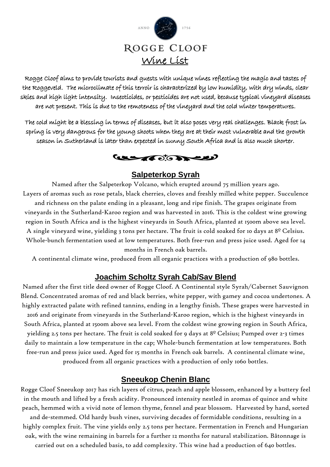

Rogge Cloof aims to provide tourists and guests with unique wines reflecting the magic and tastes of the Roggeveld. The microclimate of this terroir is characterized by low humidity, with dry winds, clear skies and high light intensity. Insecticides, or pesticides are not used, because typical vineyard diseases are not present. This is due to the remoteness of the vineyard and the cold winter temperatures.

The cold might be a blessing in terms of diseases, but it also poses very real challenges. Black frost in spring is very dangerous for the young shoots when they are at their most vulnerable and the growth season in Sutherland is later than expected in sunny South Africa and is also much shorter.



# **Salpeterkop Syrah**

Named after the Salpeterkop Volcano, which erupted around 75 million years ago. Layers of aromas such as rose petals, black cherries, cloves and freshly milled white pepper. Succulence and richness on the palate ending in a pleasant, long and ripe finish. The grapes originate from vineyards in the Sutherland-Karoo region and was harvested in 2016. This is the coldest wine growing region in South Africa and is the highest vineyards in South Africa, planted at 1500m above sea level. A single vineyard wine, yielding 3 tons per hectare. The fruit is cold soaked for 10 days at 8º Celsius. Whole-bunch fermentation used at low temperatures. Both free-run and press juice used. Aged for 14 months in French oak barrels.

A continental climate wine, produced from all organic practices with a production of 980 bottles.

## **Joachim Scholtz Syrah Cab/Sav Blend**

Named after the first title deed owner of Rogge Cloof. A Continental style Syrah/Cabernet Sauvignon Blend. Concentrated aromas of red and black berries, white pepper, with gamey and cocoa undertones. A highly extracted palate with refined tannins, ending in a lengthy finish. These grapes were harvested in 2016 and originate from vineyards in the Sutherland-Karoo region, which is the highest vineyards in South Africa, planted at 1500m above sea level. From the coldest wine growing region in South Africa, yielding 2.5 tons per hectare. The fruit is cold soaked for 9 days at 8º Celsius; Pumped over 2-3 times daily to maintain a low temperature in the cap; Whole-bunch fermentation at low temperatures. Both free-run and press juice used. Aged for 15 months in French oak barrels. A continental climate wine, produced from all organic practices with a production of only 1060 bottles.

## **Sneeukop Chenin Blanc**

Rogge Cloof Sneeukop 2017 has rich layers of citrus, peach and apple blossom, enhanced by a buttery feel in the mouth and lifted by a fresh acidity. Pronounced intensity nestled in aromas of quince and white peach, hemmed with a vivid note of lemon thyme, fennel and pear blossom. Harvested by hand, sorted and de-stemmed. Old hardy bush vines, surviving decades of formidable conditions, resulting in a highly complex fruit. The vine yields only 2.5 tons per hectare. Fermentation in French and Hungarian oak, with the wine remaining in barrels for a further 12 months for natural stabilization. Bâtonnage is carried out on a scheduled basis, to add complexity. This wine had a production of 640 bottles.